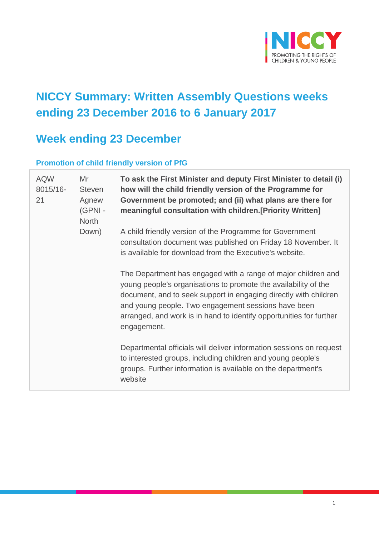

# **NICCY Summary: Written Assembly Questions weeks ending 23 December 2016 to 6 January 2017**

# **Week ending 23 December**

#### **Promotion of child friendly version of PfG**

| <b>AQW</b><br>8015/16-<br>21 | Mr<br><b>Steven</b><br>Agnew<br>(GPNI -<br><b>North</b><br>Down) | To ask the First Minister and deputy First Minister to detail (i)<br>how will the child friendly version of the Programme for<br>Government be promoted; and (ii) what plans are there for<br>meaningful consultation with children. [Priority Written]                                                                                           |
|------------------------------|------------------------------------------------------------------|---------------------------------------------------------------------------------------------------------------------------------------------------------------------------------------------------------------------------------------------------------------------------------------------------------------------------------------------------|
|                              |                                                                  | A child friendly version of the Programme for Government<br>consultation document was published on Friday 18 November. It<br>is available for download from the Executive's website.                                                                                                                                                              |
|                              |                                                                  | The Department has engaged with a range of major children and<br>young people's organisations to promote the availability of the<br>document, and to seek support in engaging directly with children<br>and young people. Two engagement sessions have been<br>arranged, and work is in hand to identify opportunities for further<br>engagement. |
|                              |                                                                  | Departmental officials will deliver information sessions on request<br>to interested groups, including children and young people's<br>groups. Further information is available on the department's<br>website                                                                                                                                     |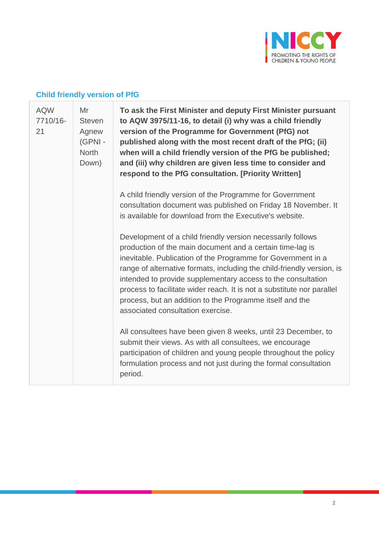

# **Child friendly version of PfG**

| <b>AQW</b><br>7710/16-<br>21 | Mr<br><b>Steven</b><br>Agnew<br>(GPNI -<br><b>North</b><br>Down) | To ask the First Minister and deputy First Minister pursuant<br>to AQW 3975/11-16, to detail (i) why was a child friendly<br>version of the Programme for Government (PfG) not<br>published along with the most recent draft of the PfG; (ii)<br>when will a child friendly version of the PfG be published;<br>and (iii) why children are given less time to consider and<br>respond to the PfG consultation. [Priority Written]                                                                             |
|------------------------------|------------------------------------------------------------------|---------------------------------------------------------------------------------------------------------------------------------------------------------------------------------------------------------------------------------------------------------------------------------------------------------------------------------------------------------------------------------------------------------------------------------------------------------------------------------------------------------------|
|                              |                                                                  | A child friendly version of the Programme for Government<br>consultation document was published on Friday 18 November. It<br>is available for download from the Executive's website.                                                                                                                                                                                                                                                                                                                          |
|                              |                                                                  | Development of a child friendly version necessarily follows<br>production of the main document and a certain time-lag is<br>inevitable. Publication of the Programme for Government in a<br>range of alternative formats, including the child-friendly version, is<br>intended to provide supplementary access to the consultation<br>process to facilitate wider reach. It is not a substitute nor parallel<br>process, but an addition to the Programme itself and the<br>associated consultation exercise. |
|                              |                                                                  | All consultees have been given 8 weeks, until 23 December, to<br>submit their views. As with all consultees, we encourage<br>participation of children and young people throughout the policy<br>formulation process and not just during the formal consultation<br>period.                                                                                                                                                                                                                                   |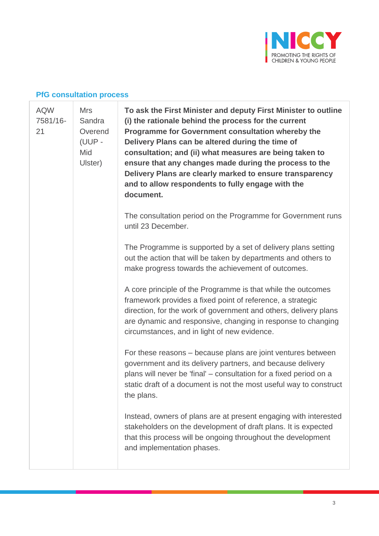

### **PfG consultation process**

| <b>AQW</b><br>7581/16-<br>21 | <b>Mrs</b><br>Sandra<br>Overend<br>(UUP -<br>Mid<br>Ulster) | To ask the First Minister and deputy First Minister to outline<br>(i) the rationale behind the process for the current<br><b>Programme for Government consultation whereby the</b><br>Delivery Plans can be altered during the time of<br>consultation; and (ii) what measures are being taken to<br>ensure that any changes made during the process to the<br>Delivery Plans are clearly marked to ensure transparency<br>and to allow respondents to fully engage with the<br>document. |
|------------------------------|-------------------------------------------------------------|-------------------------------------------------------------------------------------------------------------------------------------------------------------------------------------------------------------------------------------------------------------------------------------------------------------------------------------------------------------------------------------------------------------------------------------------------------------------------------------------|
|                              |                                                             | The consultation period on the Programme for Government runs<br>until 23 December.                                                                                                                                                                                                                                                                                                                                                                                                        |
|                              |                                                             | The Programme is supported by a set of delivery plans setting<br>out the action that will be taken by departments and others to<br>make progress towards the achievement of outcomes.                                                                                                                                                                                                                                                                                                     |
|                              |                                                             | A core principle of the Programme is that while the outcomes<br>framework provides a fixed point of reference, a strategic<br>direction, for the work of government and others, delivery plans<br>are dynamic and responsive, changing in response to changing<br>circumstances, and in light of new evidence.                                                                                                                                                                            |
|                              |                                                             | For these reasons – because plans are joint ventures between<br>government and its delivery partners, and because delivery<br>plans will never be 'final' - consultation for a fixed period on a<br>static draft of a document is not the most useful way to construct<br>the plans.                                                                                                                                                                                                      |
|                              |                                                             | Instead, owners of plans are at present engaging with interested<br>stakeholders on the development of draft plans. It is expected<br>that this process will be ongoing throughout the development<br>and implementation phases.                                                                                                                                                                                                                                                          |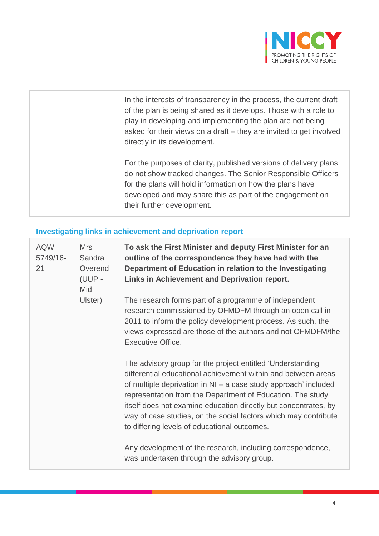

| In the interests of transparency in the process, the current draft<br>of the plan is being shared as it develops. Those with a role to<br>play in developing and implementing the plan are not being<br>asked for their views on a draft - they are invited to get involved<br>directly in its development. |
|-------------------------------------------------------------------------------------------------------------------------------------------------------------------------------------------------------------------------------------------------------------------------------------------------------------|
| For the purposes of clarity, published versions of delivery plans<br>do not show tracked changes. The Senior Responsible Officers<br>for the plans will hold information on how the plans have<br>developed and may share this as part of the engagement on<br>their further development.                   |

### **Investigating links in achievement and deprivation report**

| <b>AQW</b><br>5749/16-<br>21 | <b>Mrs</b><br>Sandra<br>Overend<br>(UUP -<br>Mid<br>Ulster) | To ask the First Minister and deputy First Minister for an<br>outline of the correspondence they have had with the<br>Department of Education in relation to the Investigating<br>Links in Achievement and Deprivation report.<br>The research forms part of a programme of independent<br>research commissioned by OFMDFM through an open call in<br>2011 to inform the policy development process. As such, the<br>views expressed are those of the authors and not OFMDFM/the<br><b>Executive Office.</b>                                                   |
|------------------------------|-------------------------------------------------------------|----------------------------------------------------------------------------------------------------------------------------------------------------------------------------------------------------------------------------------------------------------------------------------------------------------------------------------------------------------------------------------------------------------------------------------------------------------------------------------------------------------------------------------------------------------------|
|                              |                                                             | The advisory group for the project entitled 'Understanding<br>differential educational achievement within and between areas<br>of multiple deprivation in NI – a case study approach' included<br>representation from the Department of Education. The study<br>itself does not examine education directly but concentrates, by<br>way of case studies, on the social factors which may contribute<br>to differing levels of educational outcomes.<br>Any development of the research, including correspondence,<br>was undertaken through the advisory group. |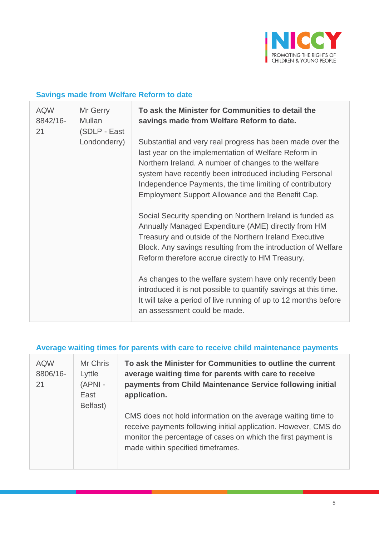

#### **Savings made from Welfare Reform to date**

| <b>AQW</b><br>8842/16-<br>21 | Mr Gerry<br>Mullan<br>(SDLP - East | To ask the Minister for Communities to detail the<br>savings made from Welfare Reform to date.                                                                                                                                                                                                                                                        |
|------------------------------|------------------------------------|-------------------------------------------------------------------------------------------------------------------------------------------------------------------------------------------------------------------------------------------------------------------------------------------------------------------------------------------------------|
|                              | Londonderry)                       | Substantial and very real progress has been made over the<br>last year on the implementation of Welfare Reform in<br>Northern Ireland. A number of changes to the welfare<br>system have recently been introduced including Personal<br>Independence Payments, the time limiting of contributory<br>Employment Support Allowance and the Benefit Cap. |
|                              |                                    | Social Security spending on Northern Ireland is funded as<br>Annually Managed Expenditure (AME) directly from HM<br>Treasury and outside of the Northern Ireland Executive<br>Block. Any savings resulting from the introduction of Welfare<br>Reform therefore accrue directly to HM Treasury.                                                       |
|                              |                                    | As changes to the welfare system have only recently been<br>introduced it is not possible to quantify savings at this time.<br>It will take a period of live running of up to 12 months before<br>an assessment could be made.                                                                                                                        |

# **Average waiting times for parents with care to receive child maintenance payments**

| <b>AQW</b><br>8806/16-<br>21 | Mr Chris<br>Lyttle<br>(APNI-<br>East<br>Belfast) | To ask the Minister for Communities to outline the current<br>average waiting time for parents with care to receive<br>payments from Child Maintenance Service following initial<br>application.                                      |
|------------------------------|--------------------------------------------------|---------------------------------------------------------------------------------------------------------------------------------------------------------------------------------------------------------------------------------------|
|                              |                                                  | CMS does not hold information on the average waiting time to<br>receive payments following initial application. However, CMS do<br>monitor the percentage of cases on which the first payment is<br>made within specified timeframes. |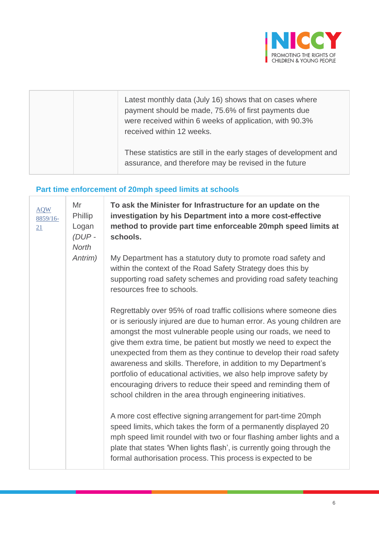

|  | Latest monthly data (July 16) shows that on cases where<br>payment should be made, 75.6% of first payments due<br>were received within 6 weeks of application, with 90.3%<br>received within 12 weeks. |
|--|--------------------------------------------------------------------------------------------------------------------------------------------------------------------------------------------------------|
|  | These statistics are still in the early stages of development and<br>assurance, and therefore may be revised in the future                                                                             |

# **Part time enforcement of 20mph speed limits at schools**

| <b>AQW</b><br>8859/16-<br>21 | Mr<br>Phillip<br>Logan<br>$(DUP -$<br><b>North</b> | To ask the Minister for Infrastructure for an update on the<br>investigation by his Department into a more cost-effective<br>method to provide part time enforceable 20mph speed limits at<br>schools.                                                                                                                                                                                                                                                                                                                                                                                                                                |
|------------------------------|----------------------------------------------------|---------------------------------------------------------------------------------------------------------------------------------------------------------------------------------------------------------------------------------------------------------------------------------------------------------------------------------------------------------------------------------------------------------------------------------------------------------------------------------------------------------------------------------------------------------------------------------------------------------------------------------------|
|                              | Antrim)                                            | My Department has a statutory duty to promote road safety and<br>within the context of the Road Safety Strategy does this by<br>supporting road safety schemes and providing road safety teaching<br>resources free to schools.                                                                                                                                                                                                                                                                                                                                                                                                       |
|                              |                                                    | Regrettably over 95% of road traffic collisions where someone dies<br>or is seriously injured are due to human error. As young children are<br>amongst the most vulnerable people using our roads, we need to<br>give them extra time, be patient but mostly we need to expect the<br>unexpected from them as they continue to develop their road safety<br>awareness and skills. Therefore, in addition to my Department's<br>portfolio of educational activities, we also help improve safety by<br>encouraging drivers to reduce their speed and reminding them of<br>school children in the area through engineering initiatives. |
|                              |                                                    | A more cost effective signing arrangement for part-time 20mph<br>speed limits, which takes the form of a permanently displayed 20<br>mph speed limit roundel with two or four flashing amber lights and a<br>plate that states 'When lights flash', is currently going through the<br>formal authorisation process. This process is expected to be                                                                                                                                                                                                                                                                                    |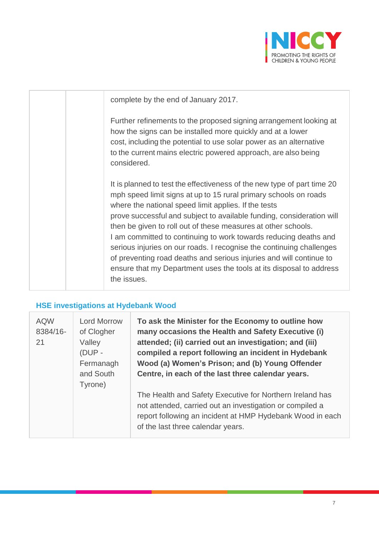

| complete by the end of January 2017.                                                                                                                                                                                                                                                                                                                                                                                                                                                                                                                                                                                                                   |
|--------------------------------------------------------------------------------------------------------------------------------------------------------------------------------------------------------------------------------------------------------------------------------------------------------------------------------------------------------------------------------------------------------------------------------------------------------------------------------------------------------------------------------------------------------------------------------------------------------------------------------------------------------|
| Further refinements to the proposed signing arrangement looking at<br>how the signs can be installed more quickly and at a lower<br>cost, including the potential to use solar power as an alternative<br>to the current mains electric powered approach, are also being<br>considered.                                                                                                                                                                                                                                                                                                                                                                |
| It is planned to test the effectiveness of the new type of part time 20<br>mph speed limit signs at up to 15 rural primary schools on roads<br>where the national speed limit applies. If the tests<br>prove successful and subject to available funding, consideration will<br>then be given to roll out of these measures at other schools.<br>I am committed to continuing to work towards reducing deaths and<br>serious injuries on our roads. I recognise the continuing challenges<br>of preventing road deaths and serious injuries and will continue to<br>ensure that my Department uses the tools at its disposal to address<br>the issues. |

# **HSE investigations at Hydebank Wood**

| <b>AQW</b><br>8384/16-<br>21 | <b>Lord Morrow</b><br>of Clogher<br>Valley<br>(DUP -<br>Fermanagh<br>and South<br>Tyrone) | To ask the Minister for the Economy to outline how<br>many occasions the Health and Safety Executive (i)<br>attended; (ii) carried out an investigation; and (iii)<br>compiled a report following an incident in Hydebank<br>Wood (a) Women's Prison; and (b) Young Offender<br>Centre, in each of the last three calendar years.<br>The Health and Safety Executive for Northern Ireland has<br>not attended, carried out an investigation or compiled a<br>report following an incident at HMP Hydebank Wood in each<br>of the last three calendar years. |
|------------------------------|-------------------------------------------------------------------------------------------|-------------------------------------------------------------------------------------------------------------------------------------------------------------------------------------------------------------------------------------------------------------------------------------------------------------------------------------------------------------------------------------------------------------------------------------------------------------------------------------------------------------------------------------------------------------|
|------------------------------|-------------------------------------------------------------------------------------------|-------------------------------------------------------------------------------------------------------------------------------------------------------------------------------------------------------------------------------------------------------------------------------------------------------------------------------------------------------------------------------------------------------------------------------------------------------------------------------------------------------------------------------------------------------------|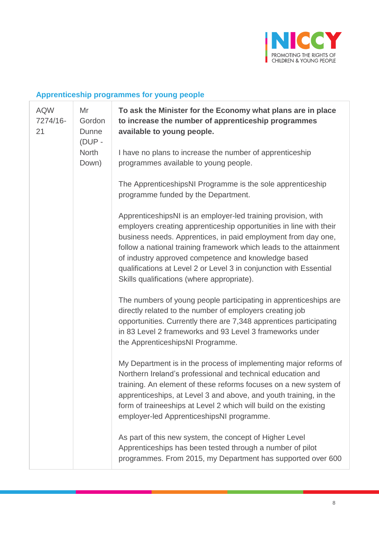

# **Apprenticeship programmes for young people**

| <b>AQW</b><br>7274/16-<br>21 | Mr<br>Gordon<br><b>Dunne</b><br>(DUP -<br>North<br>Down) | To ask the Minister for the Economy what plans are in place<br>to increase the number of apprenticeship programmes<br>available to young people.                                                                                                                                                                                                                                                                                                      |
|------------------------------|----------------------------------------------------------|-------------------------------------------------------------------------------------------------------------------------------------------------------------------------------------------------------------------------------------------------------------------------------------------------------------------------------------------------------------------------------------------------------------------------------------------------------|
|                              |                                                          | I have no plans to increase the number of apprenticeship<br>programmes available to young people.                                                                                                                                                                                                                                                                                                                                                     |
|                              |                                                          | The ApprenticeshipsNI Programme is the sole apprenticeship<br>programme funded by the Department.                                                                                                                                                                                                                                                                                                                                                     |
|                              |                                                          | ApprenticeshipsNI is an employer-led training provision, with<br>employers creating apprenticeship opportunities in line with their<br>business needs. Apprentices, in paid employment from day one,<br>follow a national training framework which leads to the attainment<br>of industry approved competence and knowledge based<br>qualifications at Level 2 or Level 3 in conjunction with Essential<br>Skills qualifications (where appropriate). |
|                              |                                                          | The numbers of young people participating in apprenticeships are<br>directly related to the number of employers creating job<br>opportunities. Currently there are 7,348 apprentices participating<br>in 83 Level 2 frameworks and 93 Level 3 frameworks under<br>the ApprenticeshipsNI Programme.                                                                                                                                                    |
|                              |                                                          | My Department is in the process of implementing major reforms of<br>Northern Ireland's professional and technical education and<br>training. An element of these reforms focuses on a new system of<br>apprenticeships, at Level 3 and above, and youth training, in the<br>form of traineeships at Level 2 which will build on the existing<br>employer-led ApprenticeshipsNI programme.                                                             |
|                              |                                                          | As part of this new system, the concept of Higher Level<br>Apprenticeships has been tested through a number of pilot<br>programmes. From 2015, my Department has supported over 600                                                                                                                                                                                                                                                                   |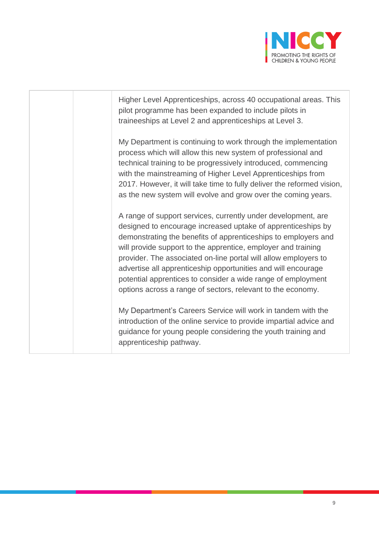

Higher Level Apprenticeships, across 40 occupational areas. This pilot programme has been expanded to include pilots in traineeships at Level 2 and apprenticeships at Level 3. My Department is continuing to work through the implementation process which will allow this new system of professional and technical training to be progressively introduced, commencing with the mainstreaming of Higher Level Apprenticeships from 2017. However, it will take time to fully deliver the reformed vision, as the new system will evolve and grow over the coming years. A range of support services, currently under development, are designed to encourage increased uptake of apprenticeships by demonstrating the benefits of apprenticeships to employers and will provide support to the apprentice, employer and training provider. The associated on-line portal will allow employers to advertise all apprenticeship opportunities and will encourage potential apprentices to consider a wide range of employment options across a range of sectors, relevant to the economy. My Department's Careers Service will work in tandem with the introduction of the online service to provide impartial advice and guidance for young people considering the youth training and apprenticeship pathway.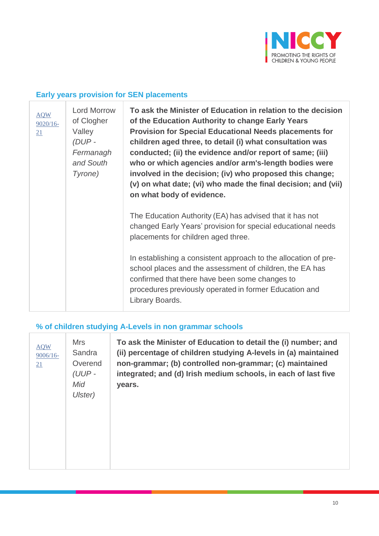

### **Early years provision for SEN placements**

| <b>AQW</b><br>$9020/16-$<br>21 | <b>Lord Morrow</b><br>of Clogher<br>Valley<br>(DUP -<br>Fermanagh<br>and South<br>Tyrone) | To ask the Minister of Education in relation to the decision<br>of the Education Authority to change Early Years<br><b>Provision for Special Educational Needs placements for</b><br>children aged three, to detail (i) what consultation was<br>conducted; (ii) the evidence and/or report of same; (iii)<br>who or which agencies and/or arm's-length bodies were<br>involved in the decision; (iv) who proposed this change;<br>(v) on what date; (vi) who made the final decision; and (vii)<br>on what body of evidence. |
|--------------------------------|-------------------------------------------------------------------------------------------|-------------------------------------------------------------------------------------------------------------------------------------------------------------------------------------------------------------------------------------------------------------------------------------------------------------------------------------------------------------------------------------------------------------------------------------------------------------------------------------------------------------------------------|
|                                |                                                                                           | The Education Authority (EA) has advised that it has not<br>changed Early Years' provision for special educational needs<br>placements for children aged three.                                                                                                                                                                                                                                                                                                                                                               |
|                                |                                                                                           | In establishing a consistent approach to the allocation of pre-<br>school places and the assessment of children, the EA has<br>confirmed that there have been some changes to<br>procedures previously operated in former Education and<br>Library Boards.                                                                                                                                                                                                                                                                    |

### **% of children studying A-Levels in non grammar schools**

| <b>AQW</b><br>$9006/16 -$<br><u>21</u> | <b>Mrs</b><br>Sandra<br>Overend<br>$(UUP -$<br>Mid<br>Ulster) | To ask the Minister of Education to detail the (i) number; and<br>(ii) percentage of children studying A-levels in (a) maintained<br>non-grammar; (b) controlled non-grammar; (c) maintained<br>integrated; and (d) Irish medium schools, in each of last five<br>years. |
|----------------------------------------|---------------------------------------------------------------|--------------------------------------------------------------------------------------------------------------------------------------------------------------------------------------------------------------------------------------------------------------------------|
|                                        |                                                               |                                                                                                                                                                                                                                                                          |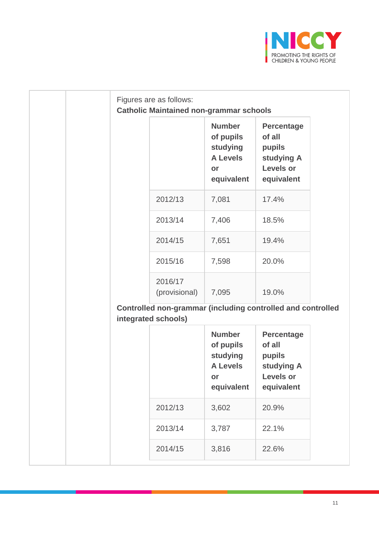

|                                                                                    | <b>Catholic Maintained non-grammar schools</b>                                |                                                                                       |
|------------------------------------------------------------------------------------|-------------------------------------------------------------------------------|---------------------------------------------------------------------------------------|
|                                                                                    | <b>Number</b><br>of pupils<br>studying<br><b>A Levels</b><br>or<br>equivalent | <b>Percentage</b><br>of all<br>pupils<br>studying A<br><b>Levels or</b><br>equivalent |
| 2012/13                                                                            | 7,081                                                                         | 17.4%                                                                                 |
| 2013/14                                                                            | 7,406                                                                         | 18.5%                                                                                 |
| 2014/15                                                                            | 7,651                                                                         | 19.4%                                                                                 |
| 2015/16                                                                            | 7,598                                                                         | 20.0%                                                                                 |
| 2016/17<br>(provisional)                                                           | 7,095                                                                         | 19.0%                                                                                 |
| Controlled non-grammar (including controlled and controlled<br>integrated schools) |                                                                               |                                                                                       |
|                                                                                    | <b>Number</b><br>of pupils<br>studying<br><b>A Levels</b><br>or<br>equivalent | <b>Percentage</b><br>of all<br>pupils<br>studying A<br>Levels or<br>equivalent        |
| 2012/13                                                                            | 3,602                                                                         | 20.9%                                                                                 |
|                                                                                    |                                                                               |                                                                                       |
| 2013/14                                                                            | 3,787                                                                         | 22.1%                                                                                 |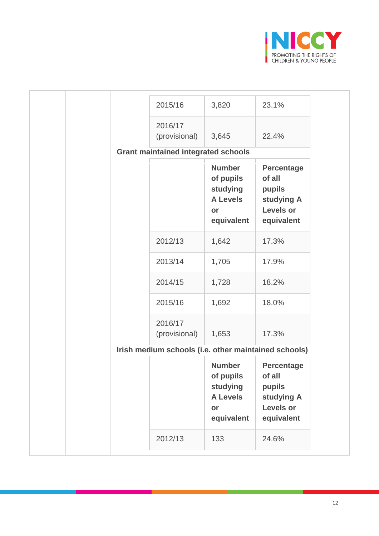

| 2015/16                                              | 3,820                                                                         | 23.1%                                                                                 |
|------------------------------------------------------|-------------------------------------------------------------------------------|---------------------------------------------------------------------------------------|
| 2016/17<br>(provisional)                             | 3,645                                                                         | 22.4%                                                                                 |
| <b>Grant maintained integrated schools</b>           |                                                                               |                                                                                       |
|                                                      | <b>Number</b><br>of pupils<br>studying<br><b>A Levels</b><br>or<br>equivalent | <b>Percentage</b><br>of all<br>pupils<br>studying A<br><b>Levels or</b><br>equivalent |
| 2012/13                                              | 1,642                                                                         | 17.3%                                                                                 |
| 2013/14                                              | 1,705                                                                         | 17.9%                                                                                 |
| 2014/15                                              | 1,728                                                                         | 18.2%                                                                                 |
| 2015/16                                              | 1,692                                                                         | 18.0%                                                                                 |
| 2016/17<br>(provisional)                             | 1,653                                                                         | 17.3%                                                                                 |
| Irish medium schools (i.e. other maintained schools) |                                                                               |                                                                                       |
|                                                      | <b>Number</b><br>of pupils<br>studying<br><b>A Levels</b><br>or<br>equivalent | <b>Percentage</b><br>of all<br>pupils<br>studying A<br><b>Levels or</b><br>equivalent |
| 2012/13                                              | 133                                                                           | 24.6%                                                                                 |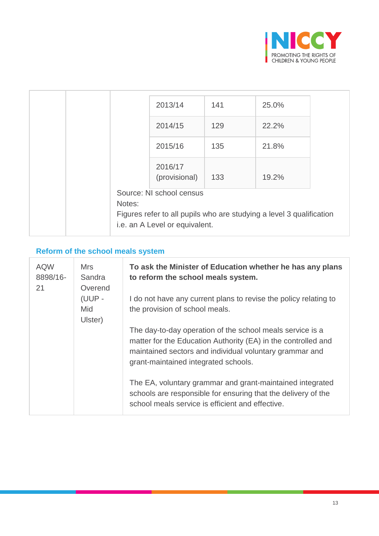

|        | 2013/14                        | 141 | 25.0%                                                                |  |
|--------|--------------------------------|-----|----------------------------------------------------------------------|--|
|        | 2014/15                        | 129 | 22.2%                                                                |  |
|        | 2015/16                        | 135 | 21.8%                                                                |  |
|        | 2016/17<br>(provisional)       | 133 | 19.2%                                                                |  |
| Notes: | Source: NI school census       |     | Figures refer to all pupils who are studying a level 3 qualification |  |
|        | i.e. an A Level or equivalent. |     |                                                                      |  |

# **Reform of the school meals system**

| <b>AQW</b><br>8898/16-<br>21 | <b>Mrs</b><br>Sandra<br>Overend | To ask the Minister of Education whether he has any plans<br>to reform the school meals system.                                                                                                                               |
|------------------------------|---------------------------------|-------------------------------------------------------------------------------------------------------------------------------------------------------------------------------------------------------------------------------|
|                              | (UUP-<br>Mid<br>Ulster)         | I do not have any current plans to revise the policy relating to<br>the provision of school meals.                                                                                                                            |
|                              |                                 | The day-to-day operation of the school meals service is a<br>matter for the Education Authority (EA) in the controlled and<br>maintained sectors and individual voluntary grammar and<br>grant-maintained integrated schools. |
|                              |                                 | The EA, voluntary grammar and grant-maintained integrated<br>schools are responsible for ensuring that the delivery of the<br>school meals service is efficient and effective.                                                |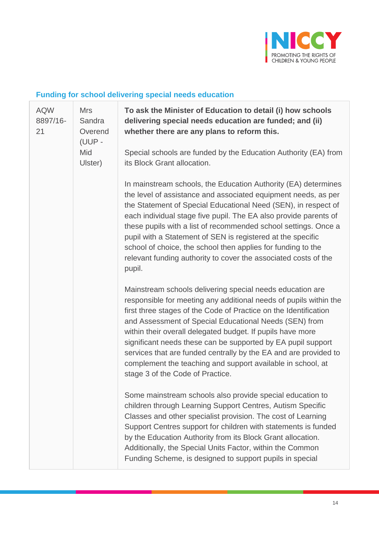

# **Funding for school delivering special needs education**

| <b>AQW</b><br><b>Mrs</b><br>8897/16-<br>21<br>Mid | Sandra<br>Overend<br>(UUP - | To ask the Minister of Education to detail (i) how schools<br>delivering special needs education are funded; and (ii)<br>whether there are any plans to reform this.                                                                                                                                                                                                                                                                                                                                                                                              |
|---------------------------------------------------|-----------------------------|-------------------------------------------------------------------------------------------------------------------------------------------------------------------------------------------------------------------------------------------------------------------------------------------------------------------------------------------------------------------------------------------------------------------------------------------------------------------------------------------------------------------------------------------------------------------|
|                                                   | Ulster)                     | Special schools are funded by the Education Authority (EA) from<br>its Block Grant allocation.                                                                                                                                                                                                                                                                                                                                                                                                                                                                    |
|                                                   |                             | In mainstream schools, the Education Authority (EA) determines<br>the level of assistance and associated equipment needs, as per<br>the Statement of Special Educational Need (SEN), in respect of<br>each individual stage five pupil. The EA also provide parents of<br>these pupils with a list of recommended school settings. Once a<br>pupil with a Statement of SEN is registered at the specific<br>school of choice, the school then applies for funding to the<br>relevant funding authority to cover the associated costs of the<br>pupil.             |
|                                                   |                             | Mainstream schools delivering special needs education are<br>responsible for meeting any additional needs of pupils within the<br>first three stages of the Code of Practice on the Identification<br>and Assessment of Special Educational Needs (SEN) from<br>within their overall delegated budget. If pupils have more<br>significant needs these can be supported by EA pupil support<br>services that are funded centrally by the EA and are provided to<br>complement the teaching and support available in school, at<br>stage 3 of the Code of Practice. |
|                                                   |                             | Some mainstream schools also provide special education to<br>children through Learning Support Centres, Autism Specific<br>Classes and other specialist provision. The cost of Learning<br>Support Centres support for children with statements is funded<br>by the Education Authority from its Block Grant allocation.<br>Additionally, the Special Units Factor, within the Common<br>Funding Scheme, is designed to support pupils in special                                                                                                                 |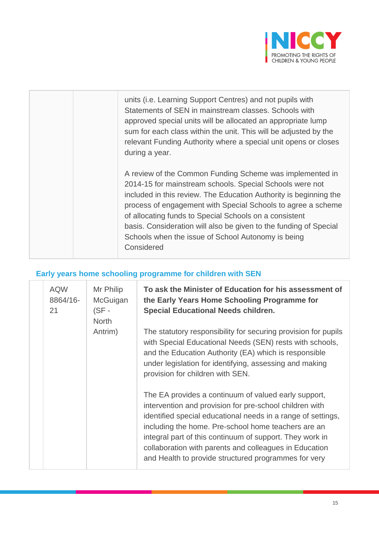

| units (i.e. Learning Support Centres) and not pupils with<br>Statements of SEN in mainstream classes. Schools with<br>approved special units will be allocated an appropriate lump<br>sum for each class within the unit. This will be adjusted by the<br>relevant Funding Authority where a special unit opens or closes<br>during a year.                                                                                                                  |
|--------------------------------------------------------------------------------------------------------------------------------------------------------------------------------------------------------------------------------------------------------------------------------------------------------------------------------------------------------------------------------------------------------------------------------------------------------------|
| A review of the Common Funding Scheme was implemented in<br>2014-15 for mainstream schools. Special Schools were not<br>included in this review. The Education Authority is beginning the<br>process of engagement with Special Schools to agree a scheme<br>of allocating funds to Special Schools on a consistent<br>basis. Consideration will also be given to the funding of Special<br>Schools when the issue of School Autonomy is being<br>Considered |

# **Early years home schooling programme for children with SEN**

| <b>AQW</b><br>8864/16-<br>21 | Mr Philip<br>McGuigan<br>$(SF -$<br><b>North</b><br>Antrim) | To ask the Minister of Education for his assessment of<br>the Early Years Home Schooling Programme for<br><b>Special Educational Needs children.</b><br>The statutory responsibility for securing provision for pupils                                                                                                                                                                                               |
|------------------------------|-------------------------------------------------------------|----------------------------------------------------------------------------------------------------------------------------------------------------------------------------------------------------------------------------------------------------------------------------------------------------------------------------------------------------------------------------------------------------------------------|
|                              |                                                             | with Special Educational Needs (SEN) rests with schools,<br>and the Education Authority (EA) which is responsible<br>under legislation for identifying, assessing and making<br>provision for children with SEN.                                                                                                                                                                                                     |
|                              |                                                             | The EA provides a continuum of valued early support,<br>intervention and provision for pre-school children with<br>identified special educational needs in a range of settings,<br>including the home. Pre-school home teachers are an<br>integral part of this continuum of support. They work in<br>collaboration with parents and colleagues in Education<br>and Health to provide structured programmes for very |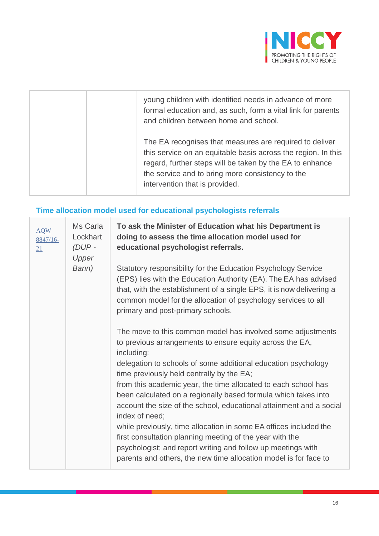

| young children with identified needs in advance of more<br>formal education and, as such, form a vital link for parents<br>and children between home and school.                                                                                                           |
|----------------------------------------------------------------------------------------------------------------------------------------------------------------------------------------------------------------------------------------------------------------------------|
| The EA recognises that measures are required to deliver<br>this service on an equitable basis across the region. In this<br>regard, further steps will be taken by the EA to enhance<br>the service and to bring more consistency to the<br>intervention that is provided. |

# **Time allocation model used for educational psychologists referrals**

| <b>AQW</b><br>8847/16-<br>21 | Ms Carla<br>Lockhart<br>$(DUP -$<br>Upper | To ask the Minister of Education what his Department is<br>doing to assess the time allocation model used for<br>educational psychologist referrals.                                                                                                                                                                                                                                                                                                                                                                                                                                                                                                                                                                                                  |
|------------------------------|-------------------------------------------|-------------------------------------------------------------------------------------------------------------------------------------------------------------------------------------------------------------------------------------------------------------------------------------------------------------------------------------------------------------------------------------------------------------------------------------------------------------------------------------------------------------------------------------------------------------------------------------------------------------------------------------------------------------------------------------------------------------------------------------------------------|
|                              | Bann)                                     | Statutory responsibility for the Education Psychology Service<br>(EPS) lies with the Education Authority (EA). The EA has advised<br>that, with the establishment of a single EPS, it is now delivering a<br>common model for the allocation of psychology services to all<br>primary and post-primary schools.                                                                                                                                                                                                                                                                                                                                                                                                                                       |
|                              |                                           | The move to this common model has involved some adjustments<br>to previous arrangements to ensure equity across the EA,<br>including:<br>delegation to schools of some additional education psychology<br>time previously held centrally by the EA;<br>from this academic year, the time allocated to each school has<br>been calculated on a regionally based formula which takes into<br>account the size of the school, educational attainment and a social<br>index of need;<br>while previously, time allocation in some EA offices included the<br>first consultation planning meeting of the year with the<br>psychologist; and report writing and follow up meetings with<br>parents and others, the new time allocation model is for face to |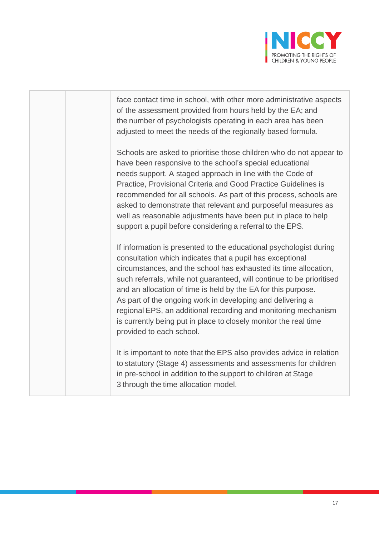

face contact time in school, with other more administrative aspects of the assessment provided from hours held by the EA; and the number of psychologists operating in each area has been adjusted to meet the needs of the regionally based formula. Schools are asked to prioritise those children who do not appear to have been responsive to the school's special educational needs support. A staged approach in line with the Code of Practice, Provisional Criteria and Good Practice Guidelines is recommended for all schools. As part of this process, schools are asked to demonstrate that relevant and purposeful measures as well as reasonable adjustments have been put in place to help support a pupil before considering a referral to the EPS. If information is presented to the educational psychologist during consultation which indicates that a pupil has exceptional circumstances, and the school has exhausted its time allocation, such referrals, while not guaranteed, will continue to be prioritised and an allocation of time is held by the EA for this purpose. As part of the ongoing work in developing and delivering a regional EPS, an additional recording and monitoring mechanism is currently being put in place to closely monitor the real time provided to each school. It is important to note that the EPS also provides advice in relation to statutory (Stage 4) assessments and assessments for children in pre-school in addition to the support to children at Stage 3 through the time allocation model.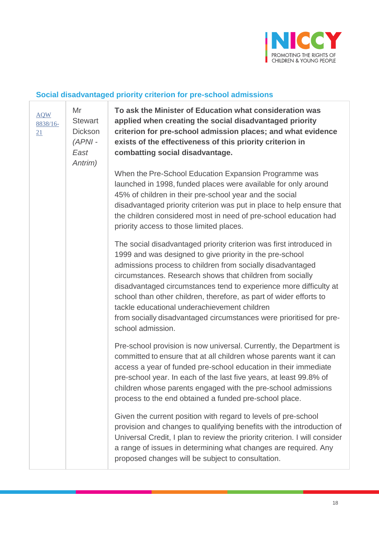

#### **Social disadvantaged priority criterion for pre-school admissions**

[AQW](javascript:__doPostBack() [8838/16-](javascript:__doPostBack() [21](javascript:__doPostBack() Mr **Stewart Dickson** *(APNI - East Antrim)* **To ask the Minister of Education what consideration was applied when creating the social disadvantaged priority criterion for pre-school admission places; and what evidence exists of the effectiveness of this priority criterion in combatting social disadvantage.** When the Pre-School Education Expansion Programme was launched in 1998, funded places were available for only around 45% of children in their pre-school year and the social disadvantaged priority criterion was put in place to help ensure that the children considered most in need of pre-school education had priority access to those limited places. The social disadvantaged priority criterion was first introduced in 1999 and was designed to give priority in the pre-school admissions process to children from socially disadvantaged circumstances. Research shows that children from socially disadvantaged circumstances tend to experience more difficulty at school than other children, therefore, as part of wider efforts to tackle educational underachievement children from socially disadvantaged circumstances were prioritised for preschool admission. Pre-school provision is now universal. Currently, the Department is committed to ensure that at all children whose parents want it can access a year of funded pre-school education in their immediate pre-school year. In each of the last five years, at least 99.8% of children whose parents engaged with the pre-school admissions process to the end obtained a funded pre-school place. Given the current position with regard to levels of pre-school provision and changes to qualifying benefits with the introduction of Universal Credit, I plan to review the priority criterion. I will consider a range of issues in determining what changes are required. Any proposed changes will be subject to consultation.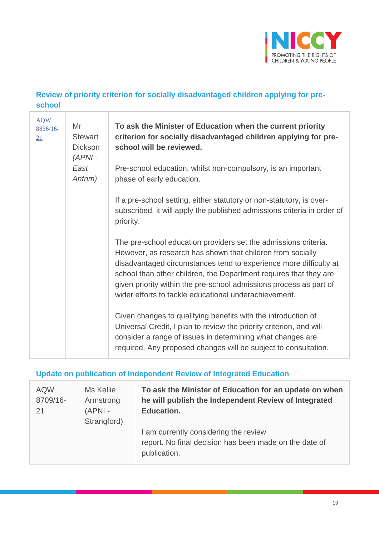

### **Review of priority criterion for socially disadvantaged children applying for preschool**

| <b>AQW</b><br>8836/16-<br>21 | Mr<br><b>Stewart</b><br><b>Dickson</b><br>$(APNI -$ | To ask the Minister of Education when the current priority<br>criterion for socially disadvantaged children applying for pre-<br>school will be reviewed.                                                                                                                                                                                                                                              |
|------------------------------|-----------------------------------------------------|--------------------------------------------------------------------------------------------------------------------------------------------------------------------------------------------------------------------------------------------------------------------------------------------------------------------------------------------------------------------------------------------------------|
|                              | East<br>Antrim)                                     | Pre-school education, whilst non-compulsory, is an important<br>phase of early education.                                                                                                                                                                                                                                                                                                              |
|                              |                                                     | If a pre-school setting, either statutory or non-statutory, is over-<br>subscribed, it will apply the published admissions criteria in order of<br>priority.                                                                                                                                                                                                                                           |
|                              |                                                     | The pre-school education providers set the admissions criteria.<br>However, as research has shown that children from socially<br>disadvantaged circumstances tend to experience more difficulty at<br>school than other children, the Department requires that they are<br>given priority within the pre-school admissions process as part of<br>wider efforts to tackle educational underachievement. |
|                              |                                                     | Given changes to qualifying benefits with the introduction of<br>Universal Credit, I plan to review the priority criterion, and will<br>consider a range of issues in determining what changes are<br>required. Any proposed changes will be subject to consultation.                                                                                                                                  |

### **Update on publication of Independent Review of Integrated Education**

| <b>AQW</b><br>8709/16-<br>21 | Ms Kellie<br>Armstrong<br>$(APNI -$<br>Strangford) | To ask the Minister of Education for an update on when<br>he will publish the Independent Review of Integrated<br><b>Education.</b> |
|------------------------------|----------------------------------------------------|-------------------------------------------------------------------------------------------------------------------------------------|
|                              |                                                    | I am currently considering the review<br>report. No final decision has been made on the date of<br>publication.                     |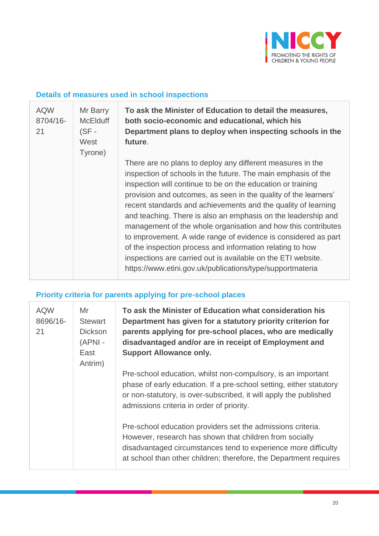

### **Details of measures used in school inspections**

| <b>AQW</b><br>8704/16-<br>21 | Mr Barry<br><b>McElduff</b><br>$(SF -$<br>West<br>Tyrone) | To ask the Minister of Education to detail the measures,<br>both socio-economic and educational, which his<br>Department plans to deploy when inspecting schools in the<br>future.                                                                                                                                                                                                                                                                                                                                                                                                                                                                                                                                           |
|------------------------------|-----------------------------------------------------------|------------------------------------------------------------------------------------------------------------------------------------------------------------------------------------------------------------------------------------------------------------------------------------------------------------------------------------------------------------------------------------------------------------------------------------------------------------------------------------------------------------------------------------------------------------------------------------------------------------------------------------------------------------------------------------------------------------------------------|
|                              |                                                           | There are no plans to deploy any different measures in the<br>inspection of schools in the future. The main emphasis of the<br>inspection will continue to be on the education or training<br>provision and outcomes, as seen in the quality of the learners'<br>recent standards and achievements and the quality of learning<br>and teaching. There is also an emphasis on the leadership and<br>management of the whole organisation and how this contributes<br>to improvement. A wide range of evidence is considered as part<br>of the inspection process and information relating to how<br>inspections are carried out is available on the ETI website.<br>https://www.etini.gov.uk/publications/type/supportmateria |

# **Priority criteria for parents applying for pre-school places**

| <b>AQW</b><br>8696/16-<br>21 | Mr<br><b>Stewart</b><br><b>Dickson</b><br>(APNI -<br>East<br>Antrim) | To ask the Minister of Education what consideration his<br>Department has given for a statutory priority criterion for<br>parents applying for pre-school places, who are medically<br>disadvantaged and/or are in receipt of Employment and<br><b>Support Allowance only.</b> |
|------------------------------|----------------------------------------------------------------------|--------------------------------------------------------------------------------------------------------------------------------------------------------------------------------------------------------------------------------------------------------------------------------|
|                              |                                                                      | Pre-school education, whilst non-compulsory, is an important<br>phase of early education. If a pre-school setting, either statutory<br>or non-statutory, is over-subscribed, it will apply the published<br>admissions criteria in order of priority.                          |
|                              |                                                                      | Pre-school education providers set the admissions criteria.<br>However, research has shown that children from socially<br>disadvantaged circumstances tend to experience more difficulty<br>at school than other children; therefore, the Department requires                  |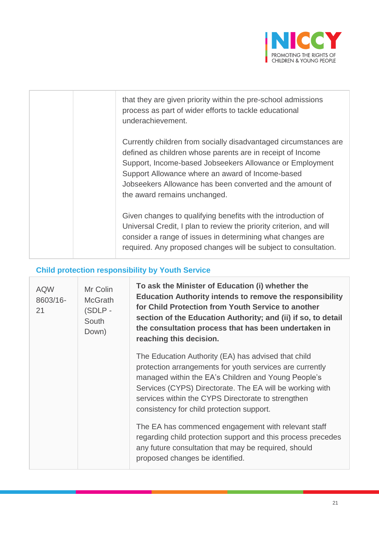

| that they are given priority within the pre-school admissions<br>process as part of wider efforts to tackle educational<br>underachievement.                                                                                                                                                                                                |
|---------------------------------------------------------------------------------------------------------------------------------------------------------------------------------------------------------------------------------------------------------------------------------------------------------------------------------------------|
| Currently children from socially disadvantaged circumstances are<br>defined as children whose parents are in receipt of Income<br>Support, Income-based Jobseekers Allowance or Employment<br>Support Allowance where an award of Income-based<br>Jobseekers Allowance has been converted and the amount of<br>the award remains unchanged. |
| Given changes to qualifying benefits with the introduction of<br>Universal Credit, I plan to review the priority criterion, and will<br>consider a range of issues in determining what changes are<br>required. Any proposed changes will be subject to consultation.                                                                       |

# **Child protection responsibility by Youth Service**

| <b>AQW</b><br>8603/16-<br>21 | Mr Colin<br><b>McGrath</b><br>(SDLP-<br>South<br>Down) | To ask the Minister of Education (i) whether the<br><b>Education Authority intends to remove the responsibility</b><br>for Child Protection from Youth Service to another<br>section of the Education Authority; and (ii) if so, to detail<br>the consultation process that has been undertaken in<br>reaching this decision.         |
|------------------------------|--------------------------------------------------------|---------------------------------------------------------------------------------------------------------------------------------------------------------------------------------------------------------------------------------------------------------------------------------------------------------------------------------------|
|                              |                                                        | The Education Authority (EA) has advised that child<br>protection arrangements for youth services are currently<br>managed within the EA's Children and Young People's<br>Services (CYPS) Directorate. The EA will be working with<br>services within the CYPS Directorate to strengthen<br>consistency for child protection support. |
|                              |                                                        | The EA has commenced engagement with relevant staff<br>regarding child protection support and this process precedes<br>any future consultation that may be required, should<br>proposed changes be identified.                                                                                                                        |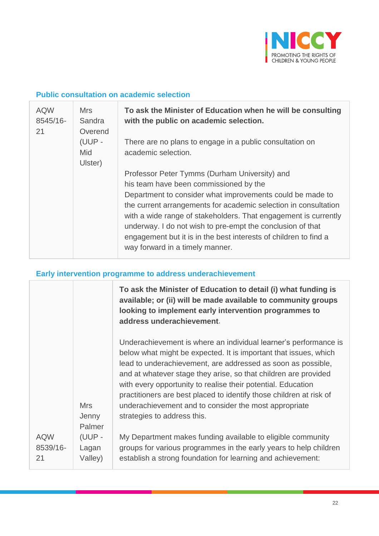

#### **Public consultation on academic selection**

| <b>AQW</b><br>8545/16-<br>21 | Mrs.<br>Sandra<br>Overend<br>(UUP -<br>Mid<br>Ulster) | To ask the Minister of Education when he will be consulting<br>with the public on academic selection.                                                                                                                                                                                                                                                                                                                                                           |
|------------------------------|-------------------------------------------------------|-----------------------------------------------------------------------------------------------------------------------------------------------------------------------------------------------------------------------------------------------------------------------------------------------------------------------------------------------------------------------------------------------------------------------------------------------------------------|
|                              |                                                       | There are no plans to engage in a public consultation on<br>academic selection.                                                                                                                                                                                                                                                                                                                                                                                 |
|                              |                                                       | Professor Peter Tymms (Durham University) and<br>his team have been commissioned by the<br>Department to consider what improvements could be made to<br>the current arrangements for academic selection in consultation<br>with a wide range of stakeholders. That engagement is currently<br>underway. I do not wish to pre-empt the conclusion of that<br>engagement but it is in the best interests of children to find a<br>way forward in a timely manner. |

### **Early intervention programme to address underachievement**

|                              |                               | To ask the Minister of Education to detail (i) what funding is<br>available; or (ii) will be made available to community groups<br>looking to implement early intervention programmes to<br>address underachievement.                                                                                                                                                                                                                                                                                  |
|------------------------------|-------------------------------|--------------------------------------------------------------------------------------------------------------------------------------------------------------------------------------------------------------------------------------------------------------------------------------------------------------------------------------------------------------------------------------------------------------------------------------------------------------------------------------------------------|
|                              | <b>Mrs</b><br>Jenny<br>Palmer | Underachievement is where an individual learner's performance is<br>below what might be expected. It is important that issues, which<br>lead to underachievement, are addressed as soon as possible,<br>and at whatever stage they arise, so that children are provided<br>with every opportunity to realise their potential. Education<br>practitioners are best placed to identify those children at risk of<br>underachievement and to consider the most appropriate<br>strategies to address this. |
| <b>AQW</b><br>8539/16-<br>21 | (UUP -<br>Lagan<br>Valley)    | My Department makes funding available to eligible community<br>groups for various programmes in the early years to help children<br>establish a strong foundation for learning and achievement:                                                                                                                                                                                                                                                                                                        |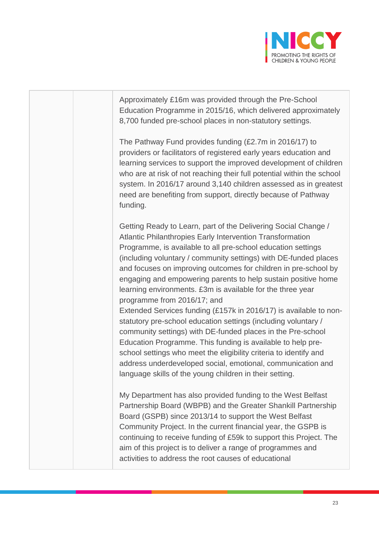

Approximately £16m was provided through the Pre-School Education Programme in 2015/16, which delivered approximately 8,700 funded pre-school places in non-statutory settings. The Pathway Fund provides funding (£2.7m in 2016/17) to providers or facilitators of registered early years education and

learning services to support the improved development of children who are at risk of not reaching their full potential within the school system. In 2016/17 around 3,140 children assessed as in greatest need are benefiting from support, directly because of Pathway funding.

Getting Ready to Learn, part of the Delivering Social Change / Atlantic Philanthropies Early Intervention Transformation Programme, is available to all pre-school education settings (including voluntary / community settings) with DE-funded places and focuses on improving outcomes for children in pre-school by engaging and empowering parents to help sustain positive home learning environments. £3m is available for the three year programme from 2016/17; and

Extended Services funding (£157k in 2016/17) is available to nonstatutory pre-school education settings (including voluntary / community settings) with DE-funded places in the Pre-school Education Programme. This funding is available to help preschool settings who meet the eligibility criteria to identify and address underdeveloped social, emotional, communication and language skills of the young children in their setting.

My Department has also provided funding to the West Belfast Partnership Board (WBPB) and the Greater Shankill Partnership Board (GSPB) since 2013/14 to support the West Belfast Community Project. In the current financial year, the GSPB is continuing to receive funding of £59k to support this Project. The aim of this project is to deliver a range of programmes and activities to address the root causes of educational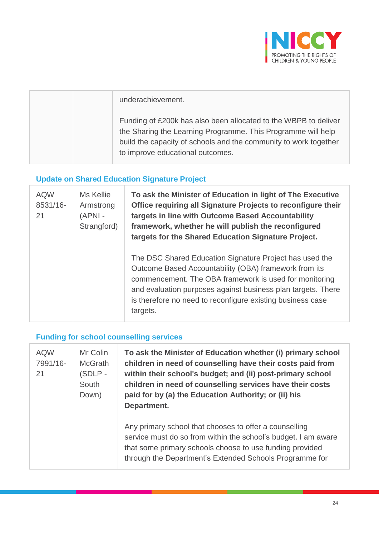

| underachievement.                                                                                                                                                                                                                       |
|-----------------------------------------------------------------------------------------------------------------------------------------------------------------------------------------------------------------------------------------|
| Funding of £200k has also been allocated to the WBPB to deliver<br>the Sharing the Learning Programme. This Programme will help<br>build the capacity of schools and the community to work together<br>to improve educational outcomes. |

### **Update on Shared Education Signature Project**

 $\overline{1}$ 

| <b>AQW</b><br>8531/16-<br>21 | Ms Kellie<br>Armstrong<br>(APNI -<br>Strangford) | To ask the Minister of Education in light of The Executive<br>Office requiring all Signature Projects to reconfigure their<br>targets in line with Outcome Based Accountability<br>framework, whether he will publish the reconfigured<br>targets for the Shared Education Signature Project.                        |
|------------------------------|--------------------------------------------------|----------------------------------------------------------------------------------------------------------------------------------------------------------------------------------------------------------------------------------------------------------------------------------------------------------------------|
|                              |                                                  | The DSC Shared Education Signature Project has used the<br>Outcome Based Accountability (OBA) framework from its<br>commencement. The OBA framework is used for monitoring<br>and evaluation purposes against business plan targets. There<br>is therefore no need to reconfigure existing business case<br>targets. |

### **Funding for school counselling services**

| <b>AQW</b><br>7991/16-<br>21 | Mr Colin<br><b>McGrath</b><br>(SDLP-<br>South<br>Down) | To ask the Minister of Education whether (i) primary school<br>children in need of counselling have their costs paid from<br>within their school's budget; and (ii) post-primary school<br>children in need of counselling services have their costs<br>paid for by (a) the Education Authority; or (ii) his<br>Department. |
|------------------------------|--------------------------------------------------------|-----------------------------------------------------------------------------------------------------------------------------------------------------------------------------------------------------------------------------------------------------------------------------------------------------------------------------|
|                              |                                                        | Any primary school that chooses to offer a counselling<br>service must do so from within the school's budget. I am aware<br>that some primary schools choose to use funding provided<br>through the Department's Extended Schools Programme for                                                                             |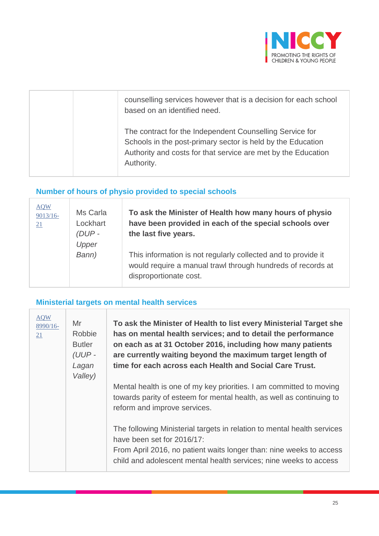

| counselling services however that is a decision for each school<br>based on an identified need.                                                                                                        |
|--------------------------------------------------------------------------------------------------------------------------------------------------------------------------------------------------------|
| The contract for the Independent Counselling Service for<br>Schools in the post-primary sector is held by the Education<br>Authority and costs for that service are met by the Education<br>Authority. |

# **Number of hours of physio provided to special schools**

T

| <b>AQW</b><br>$9013/16-$<br>21 | Ms Carla<br>Lockhart<br>$(DUP -$<br>Upper | To ask the Minister of Health how many hours of physio<br>have been provided in each of the special schools over<br>the last five years.               |
|--------------------------------|-------------------------------------------|--------------------------------------------------------------------------------------------------------------------------------------------------------|
|                                | Bann)                                     | This information is not regularly collected and to provide it<br>would require a manual trawl through hundreds of records at<br>disproportionate cost. |

#### **Ministerial targets on mental health services**

| <b>AQW</b><br>$8990/16$ -<br>21 | Mr<br>Robbie<br><b>Butler</b><br>(UUP-<br>Lagan<br>Valley) | To ask the Minister of Health to list every Ministerial Target she<br>has on mental health services; and to detail the performance<br>on each as at 31 October 2016, including how many patients<br>are currently waiting beyond the maximum target length of<br>time for each across each Health and Social Care Trust. |
|---------------------------------|------------------------------------------------------------|--------------------------------------------------------------------------------------------------------------------------------------------------------------------------------------------------------------------------------------------------------------------------------------------------------------------------|
|                                 |                                                            | Mental health is one of my key priorities. I am committed to moving<br>towards parity of esteem for mental health, as well as continuing to<br>reform and improve services.                                                                                                                                              |
|                                 |                                                            | The following Ministerial targets in relation to mental health services<br>have been set for 2016/17:<br>From April 2016, no patient waits longer than: nine weeks to access<br>child and adolescent mental health services; nine weeks to access                                                                        |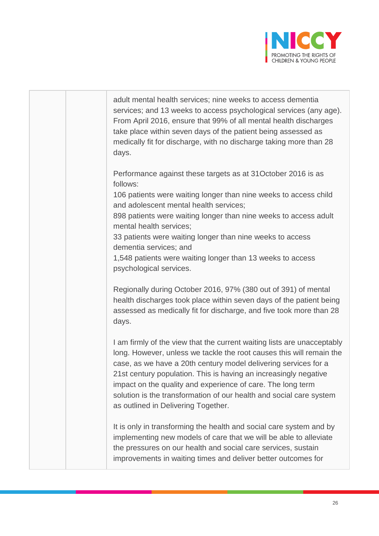

| adult mental health services; nine weeks to access dementia<br>services; and 13 weeks to access psychological services (any age).<br>From April 2016, ensure that 99% of all mental health discharges<br>take place within seven days of the patient being assessed as<br>medically fit for discharge, with no discharge taking more than 28<br>days.                                                                                                               |
|---------------------------------------------------------------------------------------------------------------------------------------------------------------------------------------------------------------------------------------------------------------------------------------------------------------------------------------------------------------------------------------------------------------------------------------------------------------------|
| Performance against these targets as at 31 October 2016 is as<br>follows:<br>106 patients were waiting longer than nine weeks to access child<br>and adolescent mental health services;                                                                                                                                                                                                                                                                             |
| 898 patients were waiting longer than nine weeks to access adult<br>mental health services;<br>33 patients were waiting longer than nine weeks to access<br>dementia services; and<br>1,548 patients were waiting longer than 13 weeks to access<br>psychological services.                                                                                                                                                                                         |
| Regionally during October 2016, 97% (380 out of 391) of mental<br>health discharges took place within seven days of the patient being<br>assessed as medically fit for discharge, and five took more than 28<br>days.                                                                                                                                                                                                                                               |
| I am firmly of the view that the current waiting lists are unacceptably<br>long. However, unless we tackle the root causes this will remain the<br>case, as we have a 20th century model delivering services for a<br>21st century population. This is having an increasingly negative<br>impact on the quality and experience of care. The long term<br>solution is the transformation of our health and social care system<br>as outlined in Delivering Together. |
| It is only in transforming the health and social care system and by<br>implementing new models of care that we will be able to alleviate<br>the pressures on our health and social care services, sustain<br>improvements in waiting times and deliver better outcomes for                                                                                                                                                                                          |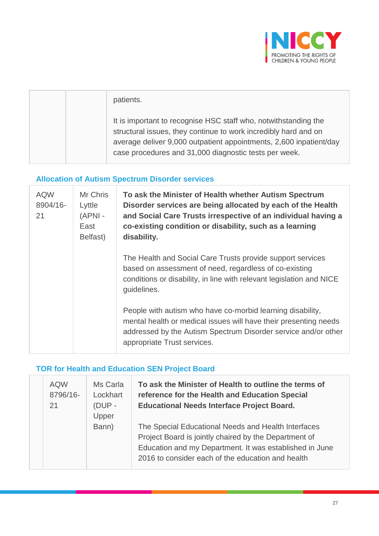

| patients.                                                                                                                                                                                                                                                         |
|-------------------------------------------------------------------------------------------------------------------------------------------------------------------------------------------------------------------------------------------------------------------|
| It is important to recognise HSC staff who, notwithstanding the<br>structural issues, they continue to work incredibly hard and on<br>average deliver 9,000 outpatient appointments, 2,600 inpatient/day<br>case procedures and 31,000 diagnostic tests per week. |

# **Allocation of Autism Spectrum Disorder services**

T

 $\overline{1}$ 

| <b>AQW</b><br>8904/16-<br>21 | Mr Chris<br>Lyttle<br>(APNI -<br>East<br>Belfast) | To ask the Minister of Health whether Autism Spectrum<br>Disorder services are being allocated by each of the Health<br>and Social Care Trusts irrespective of an individual having a<br>co-existing condition or disability, such as a learning<br>disability. |
|------------------------------|---------------------------------------------------|-----------------------------------------------------------------------------------------------------------------------------------------------------------------------------------------------------------------------------------------------------------------|
|                              |                                                   | The Health and Social Care Trusts provide support services<br>based on assessment of need, regardless of co-existing<br>conditions or disability, in line with relevant legislation and NICE<br>guidelines.                                                     |
|                              |                                                   | People with autism who have co-morbid learning disability,<br>mental health or medical issues will have their presenting needs<br>addressed by the Autism Spectrum Disorder service and/or other<br>appropriate Trust services.                                 |

# **TOR for Health and Education SEN Project Board**

| <b>AQW</b><br>8796/16-<br>21 | Ms Carla<br>Lockhart<br>$(DUP -$<br>Upper | To ask the Minister of Health to outline the terms of<br>reference for the Health and Education Special<br><b>Educational Needs Interface Project Board.</b>                                                                 |
|------------------------------|-------------------------------------------|------------------------------------------------------------------------------------------------------------------------------------------------------------------------------------------------------------------------------|
|                              | Bann)                                     | The Special Educational Needs and Health Interfaces<br>Project Board is jointly chaired by the Department of<br>Education and my Department. It was established in June<br>2016 to consider each of the education and health |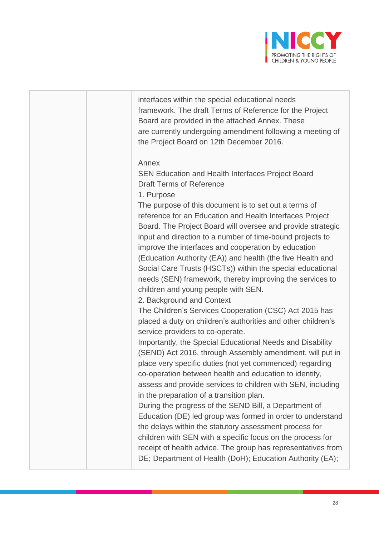

interfaces within the special educational needs framework. The draft Terms of Reference for the Project Board are provided in the attached Annex. These are currently undergoing amendment following a meeting of the Project Board on 12th December 2016.

#### Annex

SEN Education and Health Interfaces Project Board Draft Terms of Reference

1. Purpose

The purpose of this document is to set out a terms of reference for an Education and Health Interfaces Project Board. The Project Board will oversee and provide strategic input and direction to a number of time-bound projects to improve the interfaces and cooperation by education (Education Authority (EA)) and health (the five Health and Social Care Trusts (HSCTs)) within the special educational needs (SEN) framework, thereby improving the services to children and young people with SEN.

2. Background and Context

The Children's Services Cooperation (CSC) Act 2015 has placed a duty on children's authorities and other children's service providers to co-operate.

Importantly, the Special Educational Needs and Disability (SEND) Act 2016, through Assembly amendment, will put in place very specific duties (not yet commenced) regarding co-operation between health and education to identify, assess and provide services to children with SEN, including in the preparation of a transition plan.

During the progress of the SEND Bill, a Department of Education (DE) led group was formed in order to understand the delays within the statutory assessment process for children with SEN with a specific focus on the process for receipt of health advice. The group has representatives from DE; Department of Health (DoH); Education Authority (EA);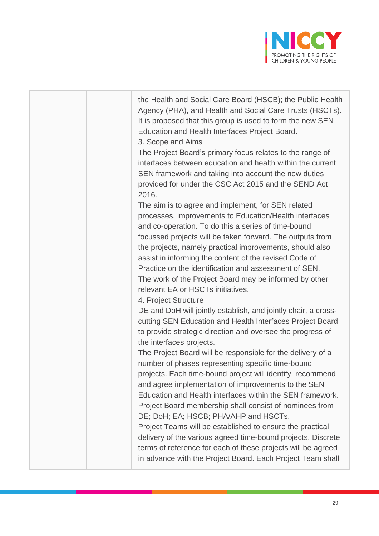

the Health and Social Care Board (HSCB); the Public Health Agency (PHA), and Health and Social Care Trusts (HSCTs). It is proposed that this group is used to form the new SEN Education and Health Interfaces Project Board.

3. Scope and Aims

The Project Board's primary focus relates to the range of interfaces between education and health within the current SEN framework and taking into account the new duties provided for under the CSC Act 2015 and the SEND Act 2016.

The aim is to agree and implement, for SEN related processes, improvements to Education/Health interfaces and co-operation. To do this a series of time-bound focussed projects will be taken forward. The outputs from the projects, namely practical improvements, should also assist in informing the content of the revised Code of Practice on the identification and assessment of SEN. The work of the Project Board may be informed by other relevant EA or HSCTs initiatives.

4. Project Structure

DE and DoH will jointly establish, and jointly chair, a crosscutting SEN Education and Health Interfaces Project Board to provide strategic direction and oversee the progress of the interfaces projects.

The Project Board will be responsible for the delivery of a number of phases representing specific time-bound projects. Each time-bound project will identify, recommend and agree implementation of improvements to the SEN Education and Health interfaces within the SEN framework. Project Board membership shall consist of nominees from DE; DoH; EA; HSCB; PHA/AHP and HSCTs.

Project Teams will be established to ensure the practical delivery of the various agreed time-bound projects. Discrete terms of reference for each of these projects will be agreed in advance with the Project Board. Each Project Team shall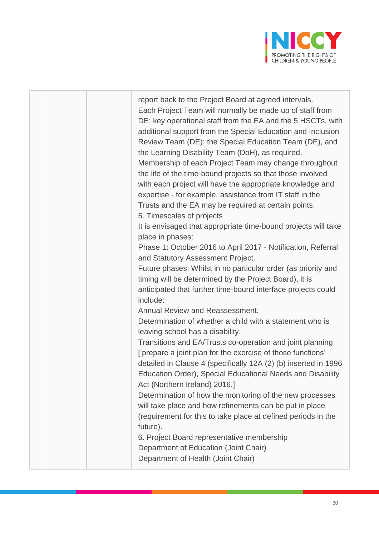

| report back to the Project Board at agreed intervals.<br>Each Project Team will normally be made up of staff from<br>DE; key operational staff from the EA and the 5 HSCTs, with<br>additional support from the Special Education and Inclusion<br>Review Team (DE); the Special Education Team (DE), and<br>the Learning Disability Team (DoH), as required.<br>Membership of each Project Team may change throughout<br>the life of the time-bound projects so that those involved<br>with each project will have the appropriate knowledge and<br>expertise - for example, assistance from IT staff in the<br>Trusts and the EA may be required at certain points.<br>5. Timescales of projects<br>It is envisaged that appropriate time-bound projects will take<br>place in phases:<br>Phase 1: October 2016 to April 2017 - Notification, Referral<br>and Statutory Assessment Project.<br>Future phases: Whilst in no particular order (as priority and<br>timing will be determined by the Project Board), it is<br>anticipated that further time-bound interface projects could |
|------------------------------------------------------------------------------------------------------------------------------------------------------------------------------------------------------------------------------------------------------------------------------------------------------------------------------------------------------------------------------------------------------------------------------------------------------------------------------------------------------------------------------------------------------------------------------------------------------------------------------------------------------------------------------------------------------------------------------------------------------------------------------------------------------------------------------------------------------------------------------------------------------------------------------------------------------------------------------------------------------------------------------------------------------------------------------------------|
| include:<br>Annual Review and Reassessment.<br>Determination of whether a child with a statement who is                                                                                                                                                                                                                                                                                                                                                                                                                                                                                                                                                                                                                                                                                                                                                                                                                                                                                                                                                                                  |
| leaving school has a disability.<br>Transitions and EA/Trusts co-operation and joint planning<br>['prepare a joint plan for the exercise of those functions'<br>detailed in Clause 4 (specifically 12A (2) (b) inserted in 1996<br>Education Order), Special Educational Needs and Disability<br>Act (Northern Ireland) 2016.]                                                                                                                                                                                                                                                                                                                                                                                                                                                                                                                                                                                                                                                                                                                                                           |
| Determination of how the monitoring of the new processes<br>will take place and how refinements can be put in place<br>(requirement for this to take place at defined periods in the<br>future).<br>6. Project Board representative membership<br>Department of Education (Joint Chair)<br>Department of Health (Joint Chair)                                                                                                                                                                                                                                                                                                                                                                                                                                                                                                                                                                                                                                                                                                                                                            |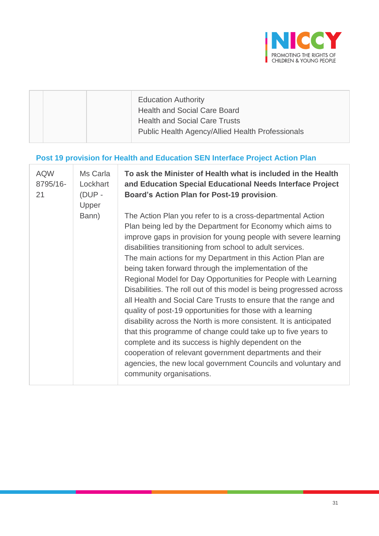

|  | <b>Education Authority</b><br><b>Health and Social Care Board</b> |
|--|-------------------------------------------------------------------|
|  | <b>Health and Social Care Trusts</b>                              |
|  | <b>Public Health Agency/Allied Health Professionals</b>           |

# **Post 19 provision for Health and Education SEN Interface Project Action Plan**

| <b>AQW</b><br>8795/16-<br>21 | Ms Carla<br>Lockhart<br>(DUP -<br>Upper | To ask the Minister of Health what is included in the Health<br>and Education Special Educational Needs Interface Project<br>Board's Action Plan for Post-19 provision.                                                                                                                                                                                                                                                                                                                                                                                                                                                                                                                                                                                                                                                                                                                                                                                                                                       |
|------------------------------|-----------------------------------------|---------------------------------------------------------------------------------------------------------------------------------------------------------------------------------------------------------------------------------------------------------------------------------------------------------------------------------------------------------------------------------------------------------------------------------------------------------------------------------------------------------------------------------------------------------------------------------------------------------------------------------------------------------------------------------------------------------------------------------------------------------------------------------------------------------------------------------------------------------------------------------------------------------------------------------------------------------------------------------------------------------------|
|                              | Bann)                                   | The Action Plan you refer to is a cross-departmental Action<br>Plan being led by the Department for Economy which aims to<br>improve gaps in provision for young people with severe learning<br>disabilities transitioning from school to adult services.<br>The main actions for my Department in this Action Plan are<br>being taken forward through the implementation of the<br>Regional Model for Day Opportunities for People with Learning<br>Disabilities. The roll out of this model is being progressed across<br>all Health and Social Care Trusts to ensure that the range and<br>quality of post-19 opportunities for those with a learning<br>disability across the North is more consistent. It is anticipated<br>that this programme of change could take up to five years to<br>complete and its success is highly dependent on the<br>cooperation of relevant government departments and their<br>agencies, the new local government Councils and voluntary and<br>community organisations. |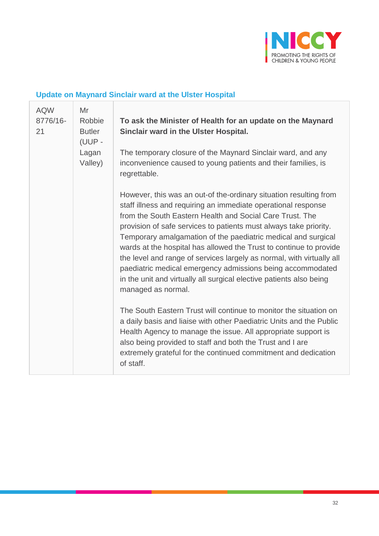

# **Update on Maynard Sinclair ward at the Ulster Hospital**

| <b>AQW</b><br>8776/16-<br>21 | Mr<br>Robbie<br><b>Butler</b><br>(UUP -<br>Lagan<br>Valley) | To ask the Minister of Health for an update on the Maynard<br>Sinclair ward in the Ulster Hospital.<br>The temporary closure of the Maynard Sinclair ward, and any                                                                                                                                                                                                                                                                                                                                                                                                        |
|------------------------------|-------------------------------------------------------------|---------------------------------------------------------------------------------------------------------------------------------------------------------------------------------------------------------------------------------------------------------------------------------------------------------------------------------------------------------------------------------------------------------------------------------------------------------------------------------------------------------------------------------------------------------------------------|
|                              |                                                             | inconvenience caused to young patients and their families, is<br>regrettable.<br>However, this was an out-of the-ordinary situation resulting from                                                                                                                                                                                                                                                                                                                                                                                                                        |
|                              |                                                             | staff illness and requiring an immediate operational response<br>from the South Eastern Health and Social Care Trust. The<br>provision of safe services to patients must always take priority.<br>Temporary amalgamation of the paediatric medical and surgical<br>wards at the hospital has allowed the Trust to continue to provide<br>the level and range of services largely as normal, with virtually all<br>paediatric medical emergency admissions being accommodated<br>in the unit and virtually all surgical elective patients also being<br>managed as normal. |
|                              |                                                             | The South Eastern Trust will continue to monitor the situation on<br>a daily basis and liaise with other Paediatric Units and the Public<br>Health Agency to manage the issue. All appropriate support is<br>also being provided to staff and both the Trust and I are<br>extremely grateful for the continued commitment and dedication<br>of staff.                                                                                                                                                                                                                     |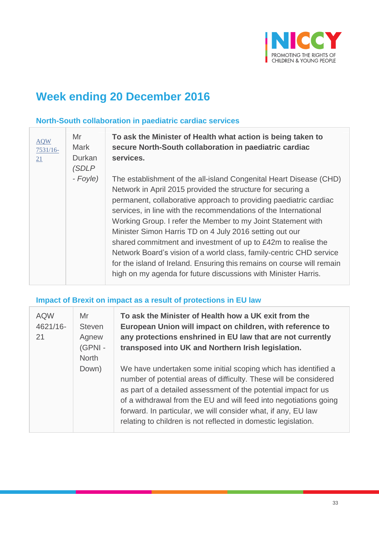

# **Week ending 20 December 2016**

#### **North-South collaboration in paediatric cardiac services**

| <b>AQW</b><br>$7531/16-$<br>21 | Mr<br><b>Mark</b><br>Durkan<br>(SDLP | To ask the Minister of Health what action is being taken to<br>secure North-South collaboration in paediatric cardiac<br>services.                                                                                                                                                                                                                                                                                                                                                                                                                                                                                                                                                       |
|--------------------------------|--------------------------------------|------------------------------------------------------------------------------------------------------------------------------------------------------------------------------------------------------------------------------------------------------------------------------------------------------------------------------------------------------------------------------------------------------------------------------------------------------------------------------------------------------------------------------------------------------------------------------------------------------------------------------------------------------------------------------------------|
|                                | - Foyle)                             | The establishment of the all-island Congenital Heart Disease (CHD)<br>Network in April 2015 provided the structure for securing a<br>permanent, collaborative approach to providing paediatric cardiac<br>services, in line with the recommendations of the International<br>Working Group. I refer the Member to my Joint Statement with<br>Minister Simon Harris TD on 4 July 2016 setting out our<br>shared commitment and investment of up to £42m to realise the<br>Network Board's vision of a world class, family-centric CHD service<br>for the island of Ireland. Ensuring this remains on course will remain<br>high on my agenda for future discussions with Minister Harris. |

**Impact of Brexit on impact as a result of protections in EU law** 

| <b>AQW</b><br>4621/16-<br>21 | Mr<br><b>Steven</b><br>Agnew<br>(GPNI -<br>North<br>Down) |  |
|------------------------------|-----------------------------------------------------------|--|

**To ask the Minister of Health how a UK exit from the European Union will impact on children, with reference to any protections enshrined in EU law that are not currently transposed into UK and Northern Irish legislation.**

We have undertaken some initial scoping which has identified a number of potential areas of difficulty. These will be considered as part of a detailed assessment of the potential impact for us of a withdrawal from the EU and will feed into negotiations going forward. In particular, we will consider what, if any, EU law relating to children is not reflected in domestic legislation.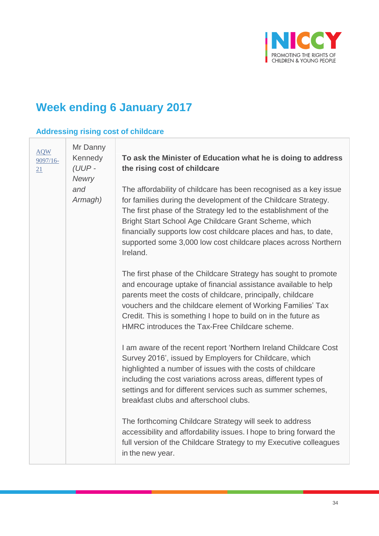

# **Week ending 6 January 2017**

### **Addressing rising cost of childcare**

| <b>AQW</b><br>$9097/16-$<br>21 | Mr Danny<br>Kennedy<br>$(UUP -$<br>Newry<br>and<br>Armagh) | To ask the Minister of Education what he is doing to address<br>the rising cost of childcare<br>The affordability of childcare has been recognised as a key issue<br>for families during the development of the Childcare Strategy.<br>The first phase of the Strategy led to the establishment of the<br>Bright Start School Age Childcare Grant Scheme, which<br>financially supports low cost childcare places and has, to date,<br>supported some 3,000 low cost childcare places across Northern |
|--------------------------------|------------------------------------------------------------|-------------------------------------------------------------------------------------------------------------------------------------------------------------------------------------------------------------------------------------------------------------------------------------------------------------------------------------------------------------------------------------------------------------------------------------------------------------------------------------------------------|
|                                |                                                            | Ireland.<br>The first phase of the Childcare Strategy has sought to promote<br>and encourage uptake of financial assistance available to help<br>parents meet the costs of childcare, principally, childcare<br>vouchers and the childcare element of Working Families' Tax<br>Credit. This is something I hope to build on in the future as<br>HMRC introduces the Tax-Free Childcare scheme.                                                                                                        |
|                                |                                                            | I am aware of the recent report 'Northern Ireland Childcare Cost<br>Survey 2016', issued by Employers for Childcare, which<br>highlighted a number of issues with the costs of childcare<br>including the cost variations across areas, different types of<br>settings and for different services such as summer schemes,<br>breakfast clubs and afterschool clubs.                                                                                                                                   |
|                                |                                                            | The forthcoming Childcare Strategy will seek to address<br>accessibility and affordability issues. I hope to bring forward the<br>full version of the Childcare Strategy to my Executive colleagues<br>in the new year.                                                                                                                                                                                                                                                                               |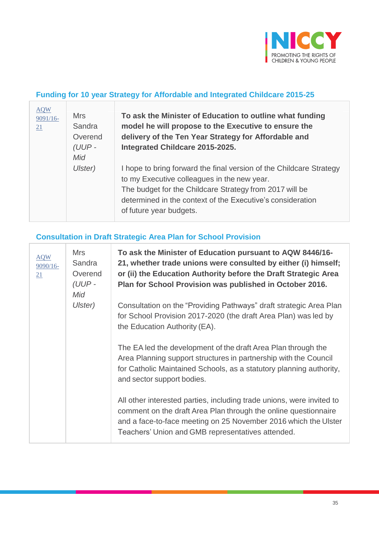

#### **Funding for 10 year Strategy for Affordable and Integrated Childcare 2015-25**

| <b>AQW</b><br>9091/16-<br><u>21</u> | <b>Mrs</b><br>Sandra<br>Overend<br>(UUP-<br>Mid | To ask the Minister of Education to outline what funding<br>model he will propose to the Executive to ensure the<br>delivery of the Ten Year Strategy for Affordable and<br>Integrated Childcare 2015-2025.                                                            |
|-------------------------------------|-------------------------------------------------|------------------------------------------------------------------------------------------------------------------------------------------------------------------------------------------------------------------------------------------------------------------------|
|                                     | Ulster)                                         | I hope to bring forward the final version of the Childcare Strategy<br>to my Executive colleagues in the new year.<br>The budget for the Childcare Strategy from 2017 will be<br>determined in the context of the Executive's consideration<br>of future year budgets. |

# **Consultation in Draft Strategic Area Plan for School Provision**

 $\overline{\phantom{a}}$ 

| <b>AQW</b><br>$9090/16-$<br>21 | <b>Mrs</b><br>Sandra<br>Overend<br>(UUP-<br>Mid<br>Ulster) | To ask the Minister of Education pursuant to AQW 8446/16-<br>21, whether trade unions were consulted by either (i) himself;<br>or (ii) the Education Authority before the Draft Strategic Area<br>Plan for School Provision was published in October 2016.       |
|--------------------------------|------------------------------------------------------------|------------------------------------------------------------------------------------------------------------------------------------------------------------------------------------------------------------------------------------------------------------------|
|                                |                                                            | Consultation on the "Providing Pathways" draft strategic Area Plan<br>for School Provision 2017-2020 (the draft Area Plan) was led by<br>the Education Authority (EA).                                                                                           |
|                                |                                                            | The EA led the development of the draft Area Plan through the<br>Area Planning support structures in partnership with the Council<br>for Catholic Maintained Schools, as a statutory planning authority,<br>and sector support bodies.                           |
|                                |                                                            | All other interested parties, including trade unions, were invited to<br>comment on the draft Area Plan through the online questionnaire<br>and a face-to-face meeting on 25 November 2016 which the Ulster<br>Teachers' Union and GMB representatives attended. |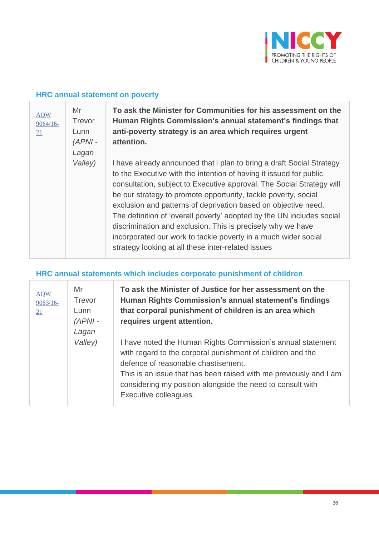

#### **HRC annual statement on poverty**

T

| <b>AQW</b><br>$9064/16-$<br>21 | Mr<br><b>Trevor</b><br>Lunn<br>$(APNI -$ | To ask the Minister for Communities for his assessment on the<br>Human Rights Commission's annual statement's findings that<br>anti-poverty strategy is an area which requires urgent<br>attention.                                                                                                                                                                                                                                                                                                                                                                                                                      |
|--------------------------------|------------------------------------------|--------------------------------------------------------------------------------------------------------------------------------------------------------------------------------------------------------------------------------------------------------------------------------------------------------------------------------------------------------------------------------------------------------------------------------------------------------------------------------------------------------------------------------------------------------------------------------------------------------------------------|
|                                | Lagan<br>Valley)                         | I have already announced that I plan to bring a draft Social Strategy<br>to the Executive with the intention of having it issued for public<br>consultation, subject to Executive approval. The Social Strategy will<br>be our strategy to promote opportunity, tackle poverty, social<br>exclusion and patterns of deprivation based on objective need.<br>The definition of 'overall poverty' adopted by the UN includes social<br>discrimination and exclusion. This is precisely why we have<br>incorporated our work to tackle poverty in a much wider social<br>strategy looking at all these inter-related issues |

### **HRC annual statements which includes corporate punishment of children**

| <b>AQW</b><br>$9063/16 -$<br>21 | Mr<br>Trevor<br>Lunn<br>$APNI -$<br>Lagan | To ask the Minister of Justice for her assessment on the<br>Human Rights Commission's annual statement's findings<br>that corporal punishment of children is an area which<br>requires urgent attention.                                                                                                                     |
|---------------------------------|-------------------------------------------|------------------------------------------------------------------------------------------------------------------------------------------------------------------------------------------------------------------------------------------------------------------------------------------------------------------------------|
|                                 | Valley)                                   | I have noted the Human Rights Commission's annual statement<br>with regard to the corporal punishment of children and the<br>defence of reasonable chastisement.<br>This is an issue that has been raised with me previously and I am<br>considering my position alongside the need to consult with<br>Executive colleagues. |